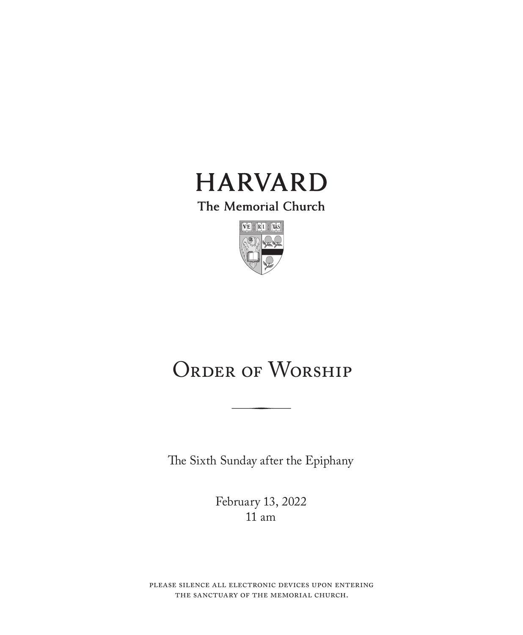

The Memorial Church



# ORDER OF WORSHIP

The Sixth Sunday after the Epiphany

February 13, 2022 11 am

please silence all electronic devices upon entering the sanctuary of the memorial church.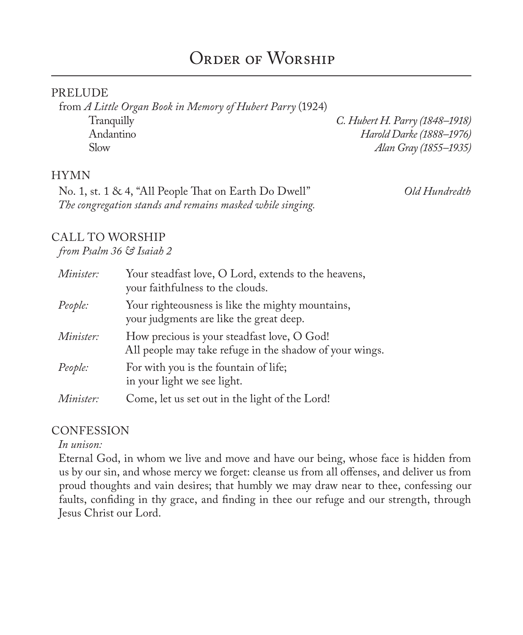#### PRELUDE

from *A Little Organ Book in Memory of Hubert Parry* (1924) Tranquilly *C. Hubert H. Parry (1848–1918)* Andantino *Harold Darke (1888–1976)*

Slow *Alan Gray (1855–1935)*

#### **HYMN**

No. 1, st. 1 & 4, "All People That on Earth Do Dwell" *Old Hundredth The congregation stands and remains masked while singing.*

### CALL TO WORSHIP

*from Psalm 36 & Isaiah 2*

| Minister: | Your steadfast love, O Lord, extends to the heavens,<br>your faithfulness to the clouds.               |
|-----------|--------------------------------------------------------------------------------------------------------|
| People:   | Your righteousness is like the mighty mountains,<br>your judgments are like the great deep.            |
| Minister: | How precious is your steadfast love, O God!<br>All people may take refuge in the shadow of your wings. |
| People:   | For with you is the fountain of life;<br>in your light we see light.                                   |
| Minister: | Come, let us set out in the light of the Lord!                                                         |

#### **CONFESSION**

*In unison:*

Eternal God, in whom we live and move and have our being, whose face is hidden from us by our sin, and whose mercy we forget: cleanse us from all offenses, and deliver us from proud thoughts and vain desires; that humbly we may draw near to thee, confessing our faults, confiding in thy grace, and finding in thee our refuge and our strength, through Jesus Christ our Lord.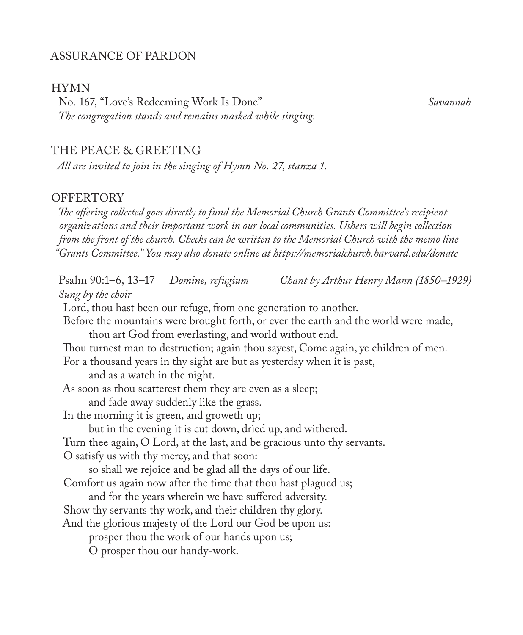### ASSURANCE OF PARDON

#### HYMN

No. 167, "Love's Redeeming Work Is Done" *Savannah The congregation stands and remains masked while singing.*

#### THE PEACE & GREETING

*All are invited to join in the singing of Hymn No. 27, stanza 1.*

#### **OFFERTORY**

*The offering collected goes directly to fund the Memorial Church Grants Committee's recipient organizations and their important work in our local communities. Ushers will begin collection from the front of the church. Checks can be written to the Memorial Church with the memo line "Grants Committee." You may also donate online at https://memorialchurch.harvard.edu/donate* 

Psalm 90:1–6, 13–17 *Domine, refugium Chant by Arthur Henry Mann (1850–1929) Sung by the choir* Lord, thou hast been our refuge, from one generation to another. Before the mountains were brought forth, or ever the earth and the world were made, thou art God from everlasting, and world without end. Thou turnest man to destruction; again thou sayest, Come again, ye children of men. For a thousand years in thy sight are but as yesterday when it is past, and as a watch in the night. As soon as thou scatterest them they are even as a sleep; and fade away suddenly like the grass. In the morning it is green, and groweth up; but in the evening it is cut down, dried up, and withered. Turn thee again, O Lord, at the last, and be gracious unto thy servants. O satisfy us with thy mercy, and that soon: so shall we rejoice and be glad all the days of our life. Comfort us again now after the time that thou hast plagued us; and for the years wherein we have suffered adversity. Show thy servants thy work, and their children thy glory. And the glorious majesty of the Lord our God be upon us: prosper thou the work of our hands upon us; O prosper thou our handy-work.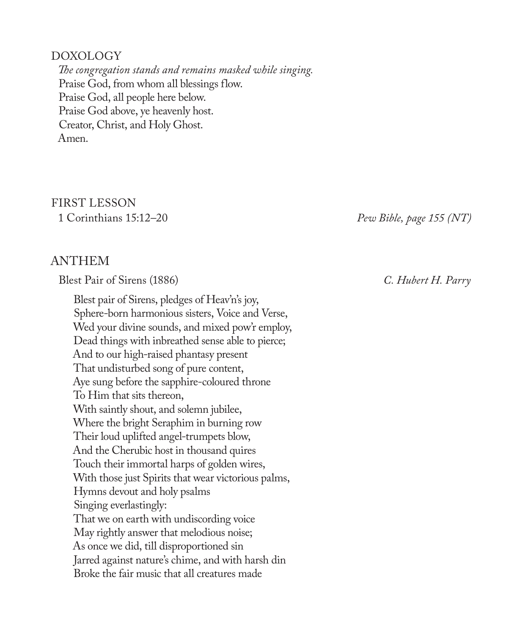#### DOXOLOGY

*The congregation stands and remains masked while singing.* Praise God, from whom all blessings flow. Praise God, all people here below. Praise God above, ye heavenly host. Creator, Christ, and Holy Ghost. Amen.

# FIRST LESSON

## ANTHEM

Blest Pair of Sirens (1886) *C. Hubert H. Parry*

Blest pair of Sirens, pledges of Heav'n's joy, Sphere-born harmonious sisters, Voice and Verse, Wed your divine sounds, and mixed pow'r employ, Dead things with inbreathed sense able to pierce; And to our high-raised phantasy present That undisturbed song of pure content, Aye sung before the sapphire-coloured throne To Him that sits thereon, With saintly shout, and solemn jubilee, Where the bright Seraphim in burning row Their loud uplifted angel-trumpets blow, And the Cherubic host in thousand quires Touch their immortal harps of golden wires, With those just Spirits that wear victorious palms, Hymns devout and holy psalms Singing everlastingly: That we on earth with undiscording voice May rightly answer that melodious noise; As once we did, till disproportioned sin Jarred against nature's chime, and with harsh din Broke the fair music that all creatures made

1 Corinthians 15:12–20 *Pew Bible, page 155 (NT)*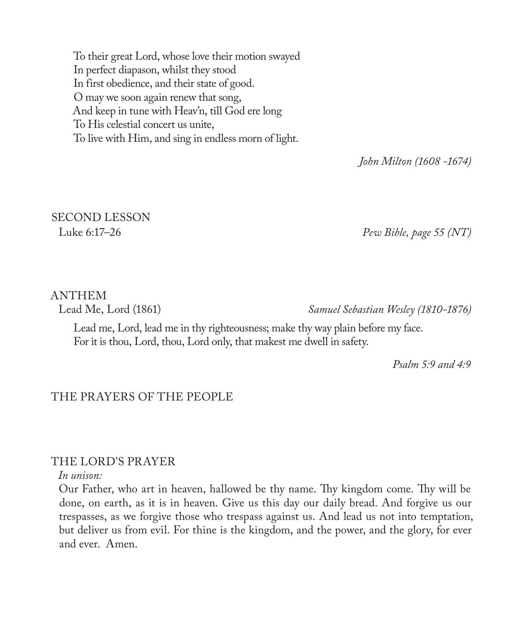To their great Lord, whose love their motion swayed In perfect diapason, whilst they stood In first obedience, and their state of good. O may we soon again renew that song, And keep in tune with Heav'n, till God ere long To His celestial concert us unite, To live with Him, and sing in endless morn of light.

*John Milton (1608 -1674)*

# SECOND LESSON

Luke 6:17–26 *Pew Bible, page 55 (NT)*

# ANTHEM

Lead Me, Lord (1861) *Samuel Sebastian Wesley (1810-1876)*

Lead me, Lord, lead me in thy righteousness; make thy way plain before my face. For it is thou, Lord, thou, Lord only, that makest me dwell in safety.

*Psalm 5:9 and 4:9* 

## THE PRAYERS OF THE PEOPLE

### THE LORD'S PRAYER

#### *In unison:*

Our Father, who art in heaven, hallowed be thy name. Thy kingdom come. Thy will be done, on earth, as it is in heaven. Give us this day our daily bread. And forgive us our trespasses, as we forgive those who trespass against us. And lead us not into temptation, but deliver us from evil. For thine is the kingdom, and the power, and the glory, for ever and ever. Amen.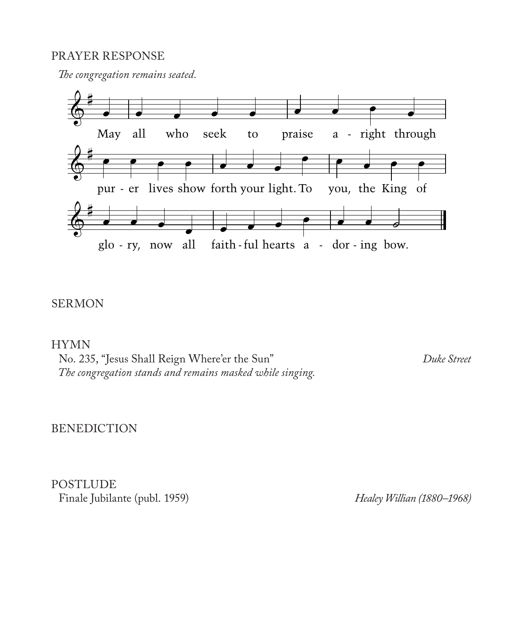### PRAYER RESPONSE

*The congregation remains seated.*



## SERMON

HYMN

No. 235, "Jesus Shall Reign Where'er the Sun" *Duke Street The congregation stands and remains masked while singing.*

BENEDICTION

POSTLUDE Finale Jubilante (publ. 1959) *Healey Willian (1880–1968)*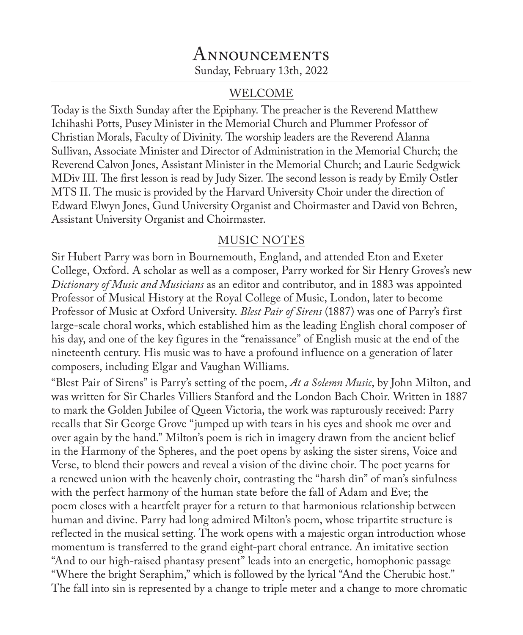## Announcements Sunday, February 13th, 2022

## WELCOME

Today is the Sixth Sunday after the Epiphany. The preacher is the Reverend Matthew Ichihashi Potts, Pusey Minister in the Memorial Church and Plummer Professor of Christian Morals, Faculty of Divinity. The worship leaders are the Reverend Alanna Sullivan, Associate Minister and Director of Administration in the Memorial Church; the Reverend Calvon Jones, Assistant Minister in the Memorial Church; and Laurie Sedgwick MDiv III. The first lesson is read by Judy Sizer. The second lesson is ready by Emily Ostler MTS II. The music is provided by the Harvard University Choir under the direction of Edward Elwyn Jones, Gund University Organist and Choirmaster and David von Behren, Assistant University Organist and Choirmaster.

## MUSIC NOTES

Sir Hubert Parry was born in Bournemouth, England, and attended Eton and Exeter College, Oxford. A scholar as well as a composer, Parry worked for Sir Henry Groves's new *Dictionary of Music and Musicians* as an editor and contributor, and in 1883 was appointed Professor of Musical History at the Royal College of Music, London, later to become Professor of Music at Oxford University. *Blest Pair of Sirens* (1887) was one of Parry's first large-scale choral works, which established him as the leading English choral composer of his day, and one of the key figures in the "renaissance" of English music at the end of the nineteenth century. His music was to have a profound influence on a generation of later composers, including Elgar and Vaughan Williams.

"Blest Pair of Sirens" is Parry's setting of the poem, *At a Solemn Music*, by John Milton, and was written for Sir Charles Villiers Stanford and the London Bach Choir. Written in 1887 to mark the Golden Jubilee of Queen Victoria, the work was rapturously received: Parry recalls that Sir George Grove "jumped up with tears in his eyes and shook me over and over again by the hand." Milton's poem is rich in imagery drawn from the ancient belief in the Harmony of the Spheres, and the poet opens by asking the sister sirens, Voice and Verse, to blend their powers and reveal a vision of the divine choir. The poet yearns for a renewed union with the heavenly choir, contrasting the "harsh din" of man's sinfulness with the perfect harmony of the human state before the fall of Adam and Eve; the poem closes with a heartfelt prayer for a return to that harmonious relationship between human and divine. Parry had long admired Milton's poem, whose tripartite structure is reflected in the musical setting. The work opens with a majestic organ introduction whose momentum is transferred to the grand eight-part choral entrance. An imitative section "And to our high-raised phantasy present" leads into an energetic, homophonic passage "Where the bright Seraphim," which is followed by the lyrical "And the Cherubic host." The fall into sin is represented by a change to triple meter and a change to more chromatic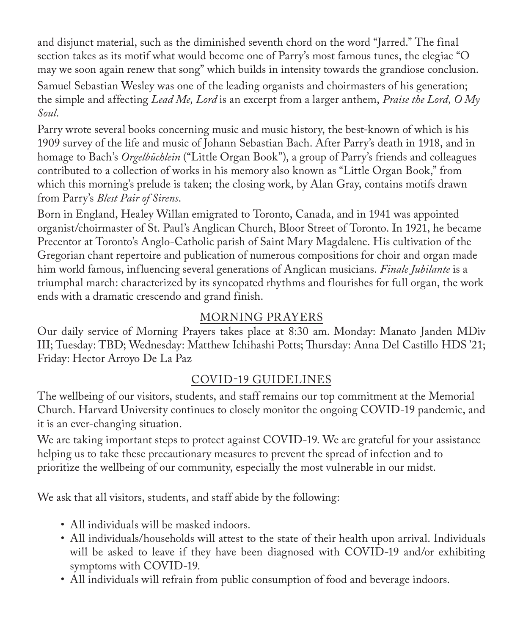and disjunct material, such as the diminished seventh chord on the word "Jarred." The final section takes as its motif what would become one of Parry's most famous tunes, the elegiac "O may we soon again renew that song" which builds in intensity towards the grandiose conclusion.

Samuel Sebastian Wesley was one of the leading organists and choirmasters of his generation; the simple and affecting *Lead Me, Lord* is an excerpt from a larger anthem, *Praise the Lord, O My Soul*.

Parry wrote several books concerning music and music history, the best-known of which is his 1909 survey of the life and music of Johann Sebastian Bach. After Parry's death in 1918, and in homage to Bach's *Orgelbüchlein* ("Little Organ Book"), a group of Parry's friends and colleagues contributed to a collection of works in his memory also known as "Little Organ Book," from which this morning's prelude is taken; the closing work, by Alan Gray, contains motifs drawn from Parry's *Blest Pair of Sirens*.

Born in England, Healey Willan emigrated to Toronto, Canada, and in 1941 was appointed organist/choirmaster of St. Paul's Anglican Church, Bloor Street of Toronto. In 1921, he became Precentor at Toronto's Anglo-Catholic parish of Saint Mary Magdalene. His cultivation of the Gregorian chant repertoire and publication of numerous compositions for choir and organ made him world famous, influencing several generations of Anglican musicians. *Finale Jubilante* is a triumphal march: characterized by its syncopated rhythms and flourishes for full organ, the work ends with a dramatic crescendo and grand finish.

## MORNING PRAYERS

Our daily service of Morning Prayers takes place at 8:30 am. Monday: Manato Janden MDiv III; Tuesday: TBD; Wednesday: Matthew Ichihashi Potts; Thursday: Anna Del Castillo HDS '21; Friday: Hector Arroyo De La Paz

## COVID-19 GUIDELINES

The wellbeing of our visitors, students, and staff remains our top commitment at the Memorial Church. Harvard University continues to closely monitor the ongoing COVID-19 pandemic, and it is an ever-changing situation.

We are taking important steps to protect against COVID-19. We are grateful for your assistance helping us to take these precautionary measures to prevent the spread of infection and to prioritize the wellbeing of our community, especially the most vulnerable in our midst.

We ask that all visitors, students, and staff abide by the following:

- All individuals will be masked indoors.
- All individuals/households will attest to the state of their health upon arrival. Individuals will be asked to leave if they have been diagnosed with COVID-19 and/or exhibiting symptoms with COVID-19.
- All individuals will refrain from public consumption of food and beverage indoors.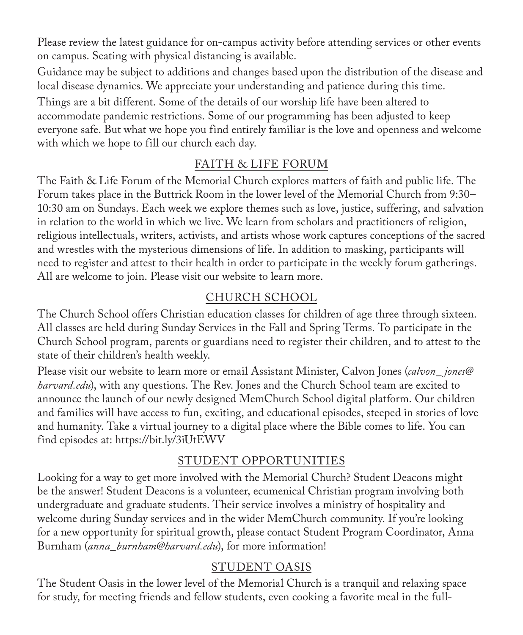Please review the latest guidance for on-campus activity before attending services or other events on campus. Seating with physical distancing is available.

Guidance may be subject to additions and changes based upon the distribution of the disease and local disease dynamics. We appreciate your understanding and patience during this time.

Things are a bit different. Some of the details of our worship life have been altered to accommodate pandemic restrictions. Some of our programming has been adjusted to keep everyone safe. But what we hope you find entirely familiar is the love and openness and welcome with which we hope to fill our church each day.

## FAITH & LIFE FORUM

The Faith & Life Forum of the Memorial Church explores matters of faith and public life. The Forum takes place in the Buttrick Room in the lower level of the Memorial Church from 9:30– 10:30 am on Sundays. Each week we explore themes such as love, justice, suffering, and salvation in relation to the world in which we live. We learn from scholars and practitioners of religion, religious intellectuals, writers, activists, and artists whose work captures conceptions of the sacred and wrestles with the mysterious dimensions of life. In addition to masking, participants will need to register and attest to their health in order to participate in the weekly forum gatherings. All are welcome to join. Please visit our website to learn more.

## CHURCH SCHOOL

The Church School offers Christian education classes for children of age three through sixteen. All classes are held during Sunday Services in the Fall and Spring Terms. To participate in the Church School program, parents or guardians need to register their children, and to attest to the state of their children's health weekly.

Please visit our website to learn more or email Assistant Minister, Calvon Jones (*calvon\_ jones@ harvard.edu*), with any questions. The Rev. Jones and the Church School team are excited to announce the launch of our newly designed MemChurch School digital platform. Our children and families will have access to fun, exciting, and educational episodes, steeped in stories of love and humanity. Take a virtual journey to a digital place where the Bible comes to life. You can find episodes at: https://bit.ly/3iUtEWV

## STUDENT OPPORTUNITIES

Looking for a way to get more involved with the Memorial Church? Student Deacons might be the answer! Student Deacons is a volunteer, ecumenical Christian program involving both undergraduate and graduate students. Their service involves a ministry of hospitality and welcome during Sunday services and in the wider MemChurch community. If you're looking for a new opportunity for spiritual growth, please contact Student Program Coordinator, Anna Burnham (*anna\_burnham@harvard.edu*), for more information!

## STUDENT OASIS

The Student Oasis in the lower level of the Memorial Church is a tranquil and relaxing space for study, for meeting friends and fellow students, even cooking a favorite meal in the full